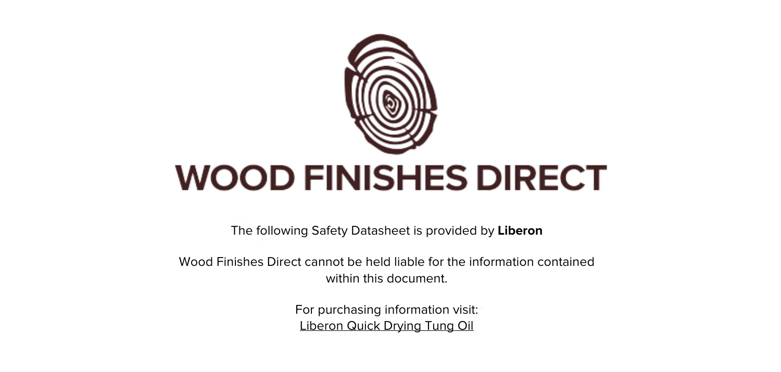

The following Safety Datasheet is provided by **Liberon**

Wood Finishes Direct cannot be held liable for the information contained within this document

> For purchasing information visit: [Liberon Quick Drying Tung Oil](https://www.wood-finishes-direct.com/product/liberon-quick-drying-tung-oil)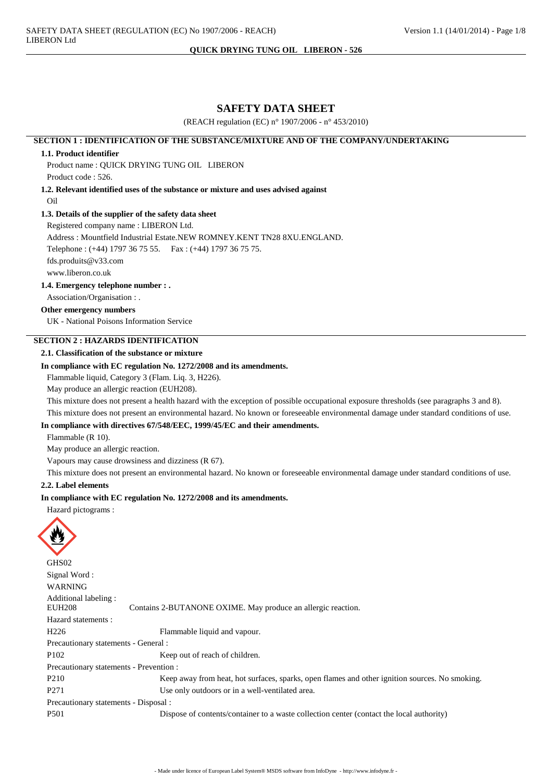# **SAFETY DATA SHEET**

(REACH regulation (EC) n° 1907/2006 - n° 453/2010)

# **SECTION 1: IDENTIFICATION OF THE SUBSTANCE/MIXTURE AND OF THE COMPANY/UNDERTAKING**

#### 1.1. Product identifier

Product name: OUICK DRYING TUNG OIL LIBERON Product code: 526.

1.2. Relevant identified uses of the substance or mixture and uses advised against

Oil

# 1.3. Details of the supplier of the safety data sheet

Registered company name: LIBERON Ltd.

Address: Mountfield Industrial Estate.NEW ROMNEY.KENT TN28 8XU.ENGLAND.

Telephone: (+44) 1797 36 75 55. Fax: (+44) 1797 36 75 75.

fds.produits@y33.com

www.liberon.co.uk

1.4. Emergency telephone number : .

Association/Organisation:

# Other emergency numbers

UK - National Poisons Information Service

# **SECTION 2: HAZARDS IDENTIFICATION**

# 2.1. Classification of the substance or mixture

# In compliance with EC regulation No. 1272/2008 and its amendments.

Flammable liquid, Category 3 (Flam. Liq. 3, H226).

May produce an allergic reaction (EUH208).

This mixture does not present a health hazard with the exception of possible occupational exposure thresholds (see paragraphs 3 and 8). This mixture does not present an environmental hazard. No known or foreseeable environmental damage under standard conditions of use.

# In compliance with directives 67/548/EEC, 1999/45/EC and their amendments.

Flammable (R 10).

May produce an allergic reaction.

Vapours may cause drowsiness and dizziness (R 67).

This mixture does not present an environmental hazard. No known or foreseeable environmental damage under standard conditions of use.

# 2.2. Label elements

# In compliance with EC regulation No. 1272/2008 and its amendments.

Hazard pictograms :



GHS<sub>02</sub> Signal Word: **WARNING** Additional labeling: **EUH208** Contains 2-BUTANONE OXIME. May produce an allergic reaction. Hazard statements ·  $H226$ Flammable liquid and vapour. Precautionary statements - General : P<sub>102</sub> Keep out of reach of children. Precautionary statements - Prevention: P210 Keep away from heat, hot surfaces, sparks, open flames and other ignition sources. No smoking. P271 Use only outdoors or in a well-ventilated area. Precautionary statements - Disposal : P501 Dispose of contents/container to a waste collection center (contact the local authority)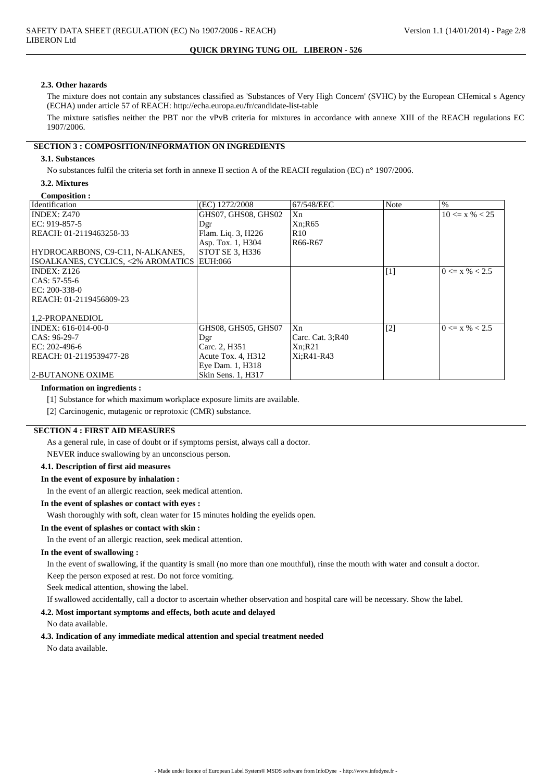#### 2.3. Other hazards

The mixture does not contain any substances classified as 'Substances of Very High Concern' (SVHC) by the European CHemical s Agency (ECHA) under article 57 of REACH: http://echa.europa.eu/fr/candidate-list-table

The mixture satisfies neither the PBT nor the vPvB criteria for mixtures in accordance with annexe XIII of the REACH regulations EC 1907/2006.

# **SECTION 3 : COMPOSITION/INFORMATION ON INGREDIENTS**

# 3.1. Substances

No substances fulfil the criteria set forth in annexe II section A of the REACH regulation (EC)  $n^{\circ}$  1907/2006.

# 3.2. Mixtures

|  | Composition : |  |
|--|---------------|--|
|  |               |  |

| Identification                             | (EC) 1272/2008      | 67/548/EEC       | <b>Note</b> | $\%$               |
|--------------------------------------------|---------------------|------------------|-------------|--------------------|
| <b>INDEX: Z470</b>                         | GHS07, GHS08, GHS02 | Xn               |             | $10 \le x \% < 25$ |
| EC: 919-857-5                              | Dgr                 | Xn;R65           |             |                    |
| REACH: 01-2119463258-33                    | Flam. Liq. 3, H226  | R <sub>10</sub>  |             |                    |
|                                            | Asp. Tox. 1, H304   | R66-R67          |             |                    |
| HYDROCARBONS, C9-C11, N-ALKANES,           | STOT SE 3, H336     |                  |             |                    |
| ISOALKANES, CYCLICS, <2% AROMATICS EUH:066 |                     |                  |             |                    |
| INDEX: Z126                                |                     |                  | [1]         | $0 \le x \% < 2.5$ |
| $ CAS: 57-55-6$                            |                     |                  |             |                    |
| EC: 200-338-0                              |                     |                  |             |                    |
| REACH: 01-2119456809-23                    |                     |                  |             |                    |
|                                            |                     |                  |             |                    |
| 1.2-PROPANEDIOL                            |                     |                  |             |                    |
| INDEX: 616-014-00-0                        | GHS08, GHS05, GHS07 | Xn               | $[2]$       | $0 \le x \% < 2.5$ |
| $ CAS: 96-29-7$                            | Dgr                 | Carc. Cat. 3;R40 |             |                    |
| EC: 202-496-6                              | Carc. 2, H351       | Xn;R21           |             |                    |
| REACH: 01-2119539477-28                    | Acute Tox. 4, H312  | Xi:R41-R43       |             |                    |
|                                            | Eye Dam. 1, H318    |                  |             |                    |
| 2-BUTANONE OXIME                           | Skin Sens. 1, H317  |                  |             |                    |

#### **Information on ingredients:**

[1] Substance for which maximum workplace exposure limits are available.

[2] Carcinogenic, mutagenic or reprotoxic (CMR) substance.

# **SECTION 4 : FIRST AID MEASURES**

As a general rule, in case of doubt or if symptoms persist, always call a doctor.

NEVER induce swallowing by an unconscious person.

# 4.1. Description of first aid measures

# In the event of exposure by inhalation:

In the event of an allergic reaction, seek medical attention.

#### In the event of splashes or contact with eyes :

Wash thoroughly with soft, clean water for 15 minutes holding the eyelids open.

#### In the event of splashes or contact with skin:

In the event of an allergic reaction, seek medical attention.

# In the event of swallowing:

In the event of swallowing, if the quantity is small (no more than one mouthful), rinse the mouth with water and consult a doctor.

Keep the person exposed at rest. Do not force vomiting.

Seek medical attention, showing the label.

If swallowed accidentally, call a doctor to ascertain whether observation and hospital care will be necessary. Show the label.

# 4.2. Most important symptoms and effects, both acute and delayed

No data available.

# 4.3. Indication of any immediate medical attention and special treatment needed

No data available.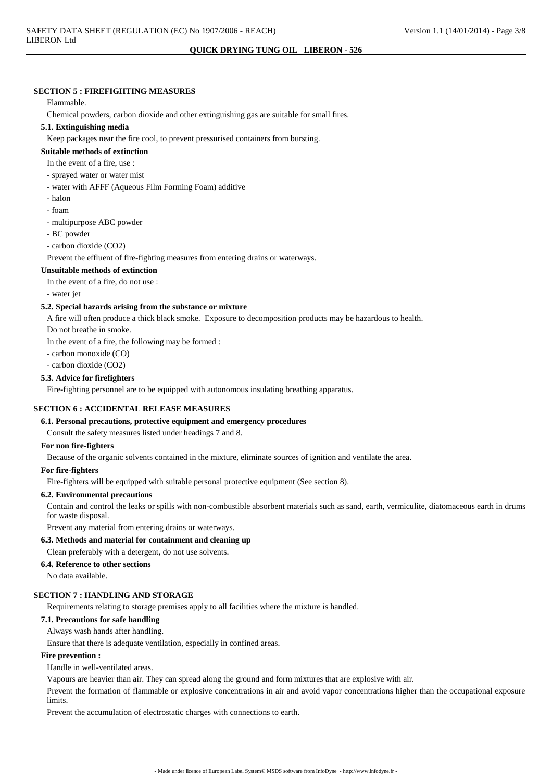# **SECTION 5: FIREFIGHTING MEASURES**

#### Flammable.

Chemical powders, carbon dioxide and other extinguishing gas are suitable for small fires.

#### 5.1. Extinguishing media

Keep packages near the fire cool, to prevent pressurised containers from bursting.

#### Suitable methods of extinction

In the event of a fire, use:

- sprayed water or water mist
- water with AFFF (Aqueous Film Forming Foam) additive
- halon
- foam
- multipurpose ABC powder
- BC powder

- carbon dioxide (CO2)

Prevent the effluent of fire-fighting measures from entering drains or waterways.

#### **Unsuitable methods of extinction**

In the event of a fire, do not use:

- water iet

#### 5.2. Special hazards arising from the substance or mixture

A fire will often produce a thick black smoke. Exposure to decomposition products may be hazardous to health.

Do not breathe in smoke.

In the event of a fire, the following may be formed :

- carbon monoxide (CO)

- carbon dioxide (CO2)

#### 5.3. Advice for firefighters

Fire-fighting personnel are to be equipped with autonomous insulating breathing apparatus.

# **SECTION 6: ACCIDENTAL RELEASE MEASURES**

# 6.1. Personal precautions, protective equipment and emergency procedures

Consult the safety measures listed under headings 7 and 8.

#### For non fire-fighters

Because of the organic solvents contained in the mixture, eliminate sources of ignition and ventilate the area.

# For fire-fighters

Fire-fighters will be equipped with suitable personal protective equipment (See section 8).

#### 6.2. Environmental precautions

Contain and control the leaks or spills with non-combustible absorbent materials such as sand, earth, vermiculite, diatomaceous earth in drums for waste disposal.

Prevent any material from entering drains or waterways.

#### 6.3. Methods and material for containment and cleaning up

Clean preferably with a detergent, do not use solvents.

# 6.4. Reference to other sections

No data available.

# **SECTION 7: HANDLING AND STORAGE**

Requirements relating to storage premises apply to all facilities where the mixture is handled.

# 7.1. Precautions for safe handling

#### Always wash hands after handling.

Ensure that there is adequate ventilation, especially in confined areas.

# **Fire prevention:**

Handle in well-ventilated areas.

Vapours are heavier than air. They can spread along the ground and form mixtures that are explosive with air.

Prevent the formation of flammable or explosive concentrations in air and avoid vapor concentrations higher than the occupational exposure limits.

Prevent the accumulation of electrostatic charges with connections to earth.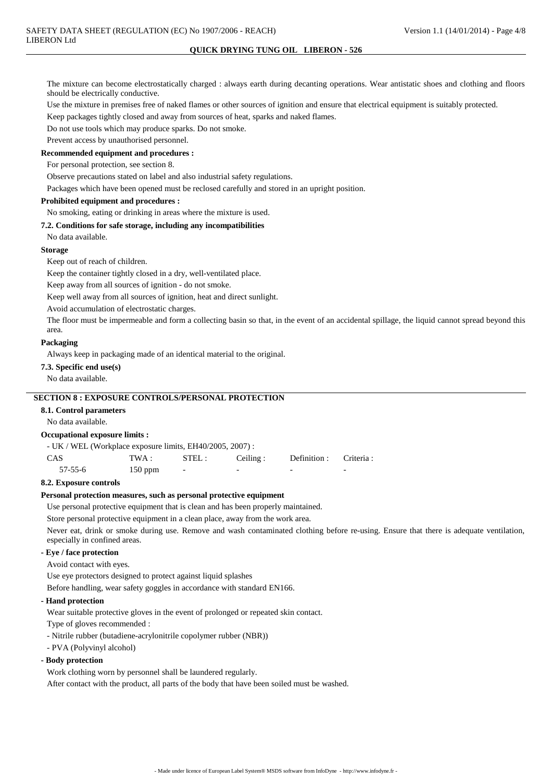The mixture can become electrostatically charged : always earth during decanting operations. Wear antistatic shoes and clothing and floors should be electrically conductive.

Use the mixture in premises free of naked flames or other sources of ignition and ensure that electrical equipment is suitably protected.

Keep packages tightly closed and away from sources of heat, sparks and naked flames.

Do not use tools which may produce sparks. Do not smoke.

Prevent access by unauthorised personnel.

#### Recommended equipment and procedures :

For personal protection, see section 8.

Observe precautions stated on label and also industrial safety regulations.

Packages which have been opened must be reclosed carefully and stored in an upright position.

# **Prohibited equipment and procedures:**

No smoking, eating or drinking in areas where the mixture is used.

# 7.2. Conditions for safe storage, including any incompatibilities

No data available.

# **Storage**

Keep out of reach of children.

Keep the container tightly closed in a dry, well-ventilated place.

Keep away from all sources of ignition - do not smoke.

Keep well away from all sources of ignition, heat and direct sunlight.

Avoid accumulation of electrostatic charges.

The floor must be impermeable and form a collecting basin so that, in the event of an accidental spillage, the liquid cannot spread beyond this area.

#### Packaging

Always keep in packaging made of an identical material to the original.

#### 7.3. Specific end use(s)

No data available.

# **SECTION 8 : EXPOSURE CONTROLS/PERSONAL PROTECTION**

# 8.1. Control parameters

No data available.

# **Occupational exposure limits:**

| $- UK$ / WEL (Workplace exposure limits, EH40/2005, 2007) : |           |        |           |                         |                          |
|-------------------------------------------------------------|-----------|--------|-----------|-------------------------|--------------------------|
| <b>CAS</b>                                                  | TWA : -   | STEL : | Ceiling : | Definition : Criteria : |                          |
| $57 - 55 - 6$                                               | $150$ ppm |        |           |                         | $\overline{\phantom{a}}$ |

#### 8.2. Exposure controls

# Personal protection measures, such as personal protective equipment

Use personal protective equipment that is clean and has been properly maintained.

Store personal protective equipment in a clean place, away from the work area.

Never eat, drink or smoke during use. Remove and wash contaminated clothing before re-using. Ensure that there is adequate ventilation, especially in confined areas.

# - Eye / face protection

Avoid contact with eves.

Use eve protectors designed to protect against liquid splashes

Before handling, wear safety goggles in accordance with standard EN166.

# - Hand protection

Wear suitable protective gloves in the event of prolonged or repeated skin contact.

Type of gloves recommended :

- Nitrile rubber (butadiene-acrylonitrile copolymer rubber (NBR))
- PVA (Polyvinyl alcohol)

#### - Body protection

Work clothing worn by personnel shall be laundered regularly. After contact with the product, all parts of the body that have been soiled must be washed.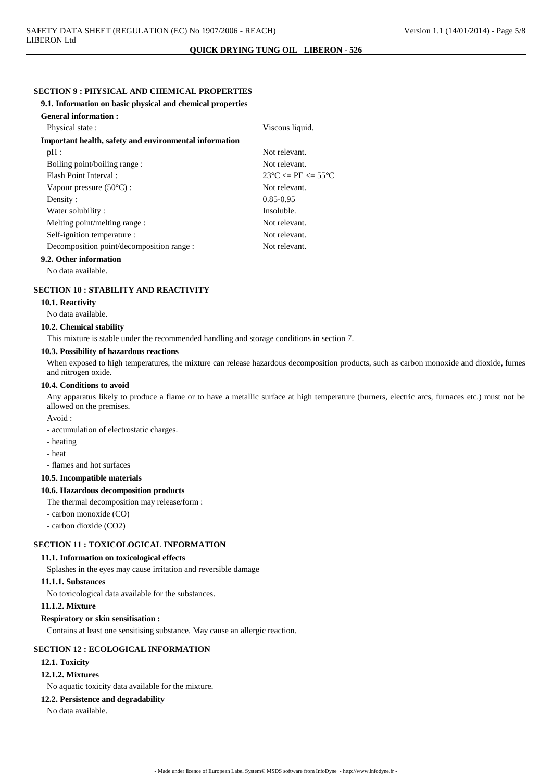# **SECTION 9 : PHYSICAL AND CHEMICAL PROPERTIES**

| 9.1. Information on basic physical and chemical properties |                                                 |
|------------------------------------------------------------|-------------------------------------------------|
| <b>General information :</b>                               |                                                 |
| Physical state:                                            | Viscous liquid.                                 |
| Important health, safety and environmental information     |                                                 |
| pH:                                                        | Not relevant.                                   |
| Boiling point/boiling range:                               | Not relevant.                                   |
| Flash Point Interval:                                      | $23^{\circ}$ C $\leq$ PE $\leq$ 55 $^{\circ}$ C |
| Vapour pressure $(50^{\circ}C)$ :                          | Not relevant.                                   |
| Density:                                                   | $0.85 - 0.95$                                   |
| Water solubility:                                          | Insoluble.                                      |
| Melting point/melting range :                              | Not relevant.                                   |
| Self-ignition temperature :                                | Not relevant.                                   |
| Decomposition point/decomposition range :                  | Not relevant.                                   |
| 9.2. Other information                                     |                                                 |

No data available.

# **SECTION 10 : STABILITY AND REACTIVITY**

#### 10.1. Reactivity

No data available.

#### 10.2. Chemical stability

This mixture is stable under the recommended handling and storage conditions in section 7.

# 10.3. Possibility of hazardous reactions

When exposed to high temperatures, the mixture can release hazardous decomposition products, such as carbon monoxide and dioxide, fumes and nitrogen oxide.

# 10.4. Conditions to avoid

Any apparatus likely to produce a flame or to have a metallic surface at high temperature (burners, electric arcs, furnaces etc.) must not be allowed on the premises.

Avoid:

- accumulation of electrostatic charges.

- heating
- heat

- flames and hot surfaces

#### 10.5. Incompatible materials

# 10.6. Hazardous decomposition products

The thermal decomposition may release/form :

- carbon monoxide (CO)

- carbon dioxide (CO2)

# **SECTION 11 : TOXICOLOGICAL INFORMATION**

#### 11.1. Information on toxicological effects

Splashes in the eyes may cause irritation and reversible damage

# 11.1.1. Substances

No toxicological data available for the substances.

# 11.1.2. Mixture

#### **Respiratory or skin sensitisation:**

Contains at least one sensitising substance. May cause an allergic reaction.

# **SECTION 12: ECOLOGICAL INFORMATION**

# 12.1. Toxicity

# **12.1.2. Mixtures**

No aquatic toxicity data available for the mixture.

# 12.2. Persistence and degradability

No data available.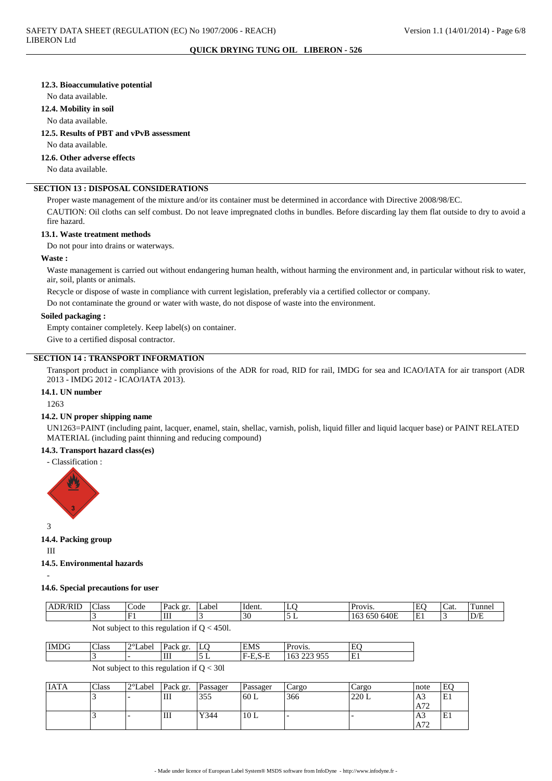#### 12.3. Bioaccumulative potential

No data available.

# 12.4. Mobility in soil

#### No data available.

#### 12.5. Results of PBT and vPvB assessment

No data available.

#### 12.6. Other adverse effects

No data available.

# **SECTION 13 : DISPOSAL CONSIDERATIONS**

Proper waste management of the mixture and/or its container must be determined in accordance with Directive 2008/98/EC.

CAUTION: Oil cloths can self combust. Do not leave impregnated cloths in bundles. Before discarding lay them flat outside to dry to avoid a fire hazard.

#### 13.1. Waste treatment methods

Do not pour into drains or waterways.

#### Waste:

Waste management is carried out without endangering human health, without harming the environment and, in particular without risk to water, air, soil, plants or animals.

Recycle or dispose of waste in compliance with current legislation, preferably via a certified collector or company.

Do not contaminate the ground or water with waste, do not dispose of waste into the environment.

#### Soiled packaging:

Empty container completely. Keep label(s) on container.

Give to a certified disposal contractor.

# **SECTION 14 : TRANSPORT INFORMATION**

Transport product in compliance with provisions of the ADR for road, RID for rail, IMDG for sea and ICAO/IATA for air transport (ADR 2013 - IMDG 2012 - ICAO/IATA 2013).

# 14.1. UN number

1263

#### 14.2. UN proper shipping name

UN1263=PAINT (including paint, lacquer, enamel, stain, shellac, varnish, polish, liquid filler and liquid lacquer base) or PAINT RELATED MATERIAL (including paint thinning and reducing compound)

# 14.3. Transport hazard class(es)

- Classification :



3

14.4. Packing group

 $\overline{1}$ 

# 14.5. Environmental hazards

14.6. Special precautions for user

| <b>ADR/RID</b>                               | $\sim$ 1<br>Class | Code      | Pack gr. | Label | Ident. | ۰ س      | Provis.            | EO | 'Cat. | <b>Tunnel</b> |
|----------------------------------------------|-------------------|-----------|----------|-------|--------|----------|--------------------|----|-------|---------------|
|                                              |                   | E1<br>. . | Ш        |       | 30     | <b>.</b> | 640E<br>650<br>16. | E1 |       | D/E           |
| 4501.<br>Not subject to this regulation if ( |                   |           |          |       |        |          |                    |    |       |               |

| IMDG | Class     | $\gamma$ ot<br>Label | gr.<br>Pack | LU.           | <b>EMS</b> | TOV <sub>1</sub> S.                | $\Gamma$<br>н.<br>- L |
|------|-----------|----------------------|-------------|---------------|------------|------------------------------------|-----------------------|
|      | . .       | -                    | Ш           | ◡<br><b>.</b> | 6-H<br>7-E | 055<br>$\sim$<br>ر ر<br>⊥∪J<br>--- | --                    |
|      | $ -$<br>. | $\sim$ $\sim$        | .           | .             |            |                                    |                       |

#### Not subject to this regulation if  $Q < 30l$

| <b>IATA</b> | Class | 2°Label | Pack gr. | Passager | Passager     | Cargo | Cargo | Inote          | EC.<br>т. |
|-------------|-------|---------|----------|----------|--------------|-------|-------|----------------|-----------|
|             |       |         | Ш        | 355      | $\rm ^160~L$ | 366   | 220L  | A <sub>3</sub> | لانات     |
|             |       |         |          |          |              |       |       | A72            |           |
|             |       |         | Ш        | Y344     | 10L          |       |       | A3             | لانات     |
|             |       |         |          |          |              |       |       | A72            |           |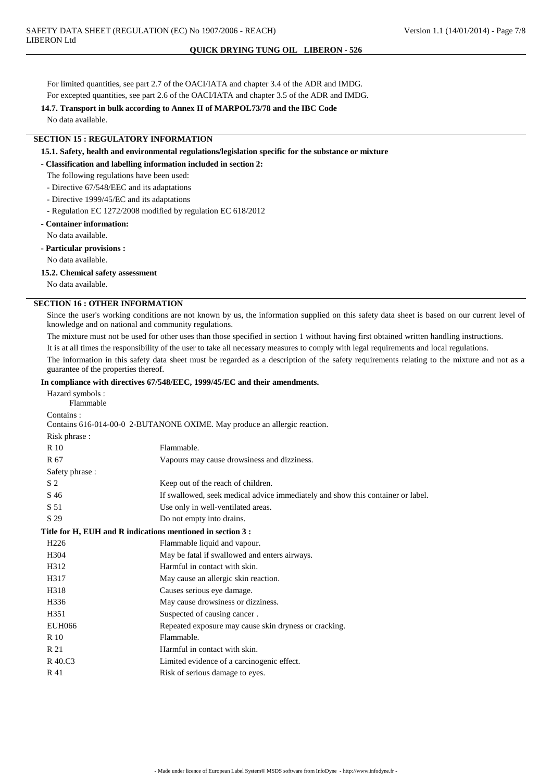For limited quantities, see part 2.7 of the OACI/IATA and chapter 3.4 of the ADR and IMDG.

For excepted quantities, see part 2.6 of the OACI/IATA and chapter 3.5 of the ADR and IMDG. 14.7. Transport in bulk according to Annex II of MARPOL73/78 and the IBC Code

No data available.

**SECTION 15: REGULATORY INFORMATION** 

15.1. Safety, health and environmental regulations/legislation specific for the substance or mixture

- Classification and labelling information included in section 2:

- The following regulations have been used:
- Directive 67/548/EEC and its adaptations
- Directive 1999/45/EC and its adaptations
- Regulation EC 1272/2008 modified by regulation EC 618/2012

# - Container information:

No data available.

- Particular provisions :

No data available.

# 15.2. Chemical safety assessment

No data available.

# **SECTION 16 : OTHER INFORMATION**

Since the user's working conditions are not known by us, the information supplied on this safety data sheet is based on our current level of knowledge and on national and community regulations.

The mixture must not be used for other uses than those specified in section 1 without having first obtained written handling instructions.

It is at all times the responsibility of the user to take all necessary measures to comply with legal requirements and local regulations.

The information in this safety data sheet must be regarded as a description of the safety requirements relating to the mixture and not as a guarantee of the properties thereof.

# ompliance with directives 67/548/FFC\_1999/45/FC\_and their amendments

|                                                             | In compliance with directives 07/548/EEC, 1999/45/EC and their amendments.      |
|-------------------------------------------------------------|---------------------------------------------------------------------------------|
| Hazard symbols:                                             |                                                                                 |
| Flammable                                                   |                                                                                 |
| Contains:                                                   | Contains 616-014-00-0 2-BUTANONE OXIME. May produce an allergic reaction.       |
|                                                             |                                                                                 |
| Risk phrase:<br>R 10                                        | Flammable.                                                                      |
|                                                             |                                                                                 |
| R 67                                                        | Vapours may cause drowsiness and dizziness.                                     |
| Safety phrase:                                              |                                                                                 |
| S <sub>2</sub>                                              | Keep out of the reach of children.                                              |
| S 46                                                        | If swallowed, seek medical advice immediately and show this container or label. |
| S 51                                                        | Use only in well-ventilated areas.                                              |
| S 29                                                        | Do not empty into drains.                                                       |
| Title for H, EUH and R indications mentioned in section 3 : |                                                                                 |
| H <sub>226</sub>                                            | Flammable liquid and vapour.                                                    |
| H <sub>304</sub>                                            | May be fatal if swallowed and enters airways.                                   |
| H312                                                        | Harmful in contact with skin.                                                   |
| H317                                                        | May cause an allergic skin reaction.                                            |
| H318                                                        | Causes serious eye damage.                                                      |
| H336                                                        | May cause drowsiness or dizziness.                                              |
| H <sub>351</sub>                                            | Suspected of causing cancer.                                                    |
| <b>EUH066</b>                                               | Repeated exposure may cause skin dryness or cracking.                           |
| R 10                                                        | Flammable.                                                                      |
| R 21                                                        | Harmful in contact with skin.                                                   |
| R 40.C3                                                     | Limited evidence of a carcinogenic effect.                                      |
| R 41                                                        | Risk of serious damage to eyes.                                                 |
|                                                             |                                                                                 |